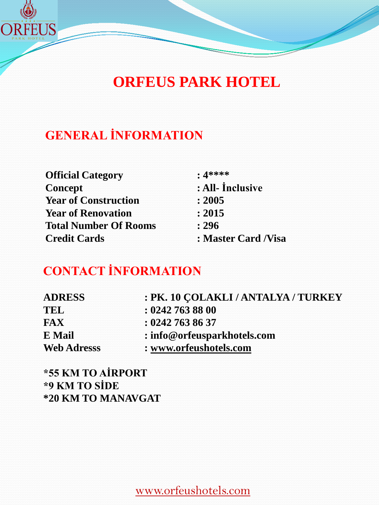

# **ORFEUS PARK HOTEL**

# **GENERAL İNFORMATION**

| <b>Official Category</b>     | $: 4****$            |
|------------------------------|----------------------|
| Concept                      | : All- Inclusive     |
| <b>Year of Construction</b>  | : 2005               |
| <b>Year of Renovation</b>    | : 2015               |
| <b>Total Number Of Rooms</b> | : 296                |
| <b>Credit Cards</b>          | : Master Card / Visa |

# **CONTACT İNFORMATION**

| <b>ADRESS</b>      | : PK. 10 ÇOLAKLI / ANTALYA / TURKEY |
|--------------------|-------------------------------------|
| TEL                | : 0242 763 88 00                    |
| <b>FAX</b>         | : 02427638637                       |
| E Mail             | : info@orfeusparkhotels.com         |
| <b>Web Adresss</b> | : www.orfeushotels.com              |

**\*55 KM TO AİRPORT \*9 KM TO SİDE \*20 KM TO MANAVGAT**

www.orfeushotels.com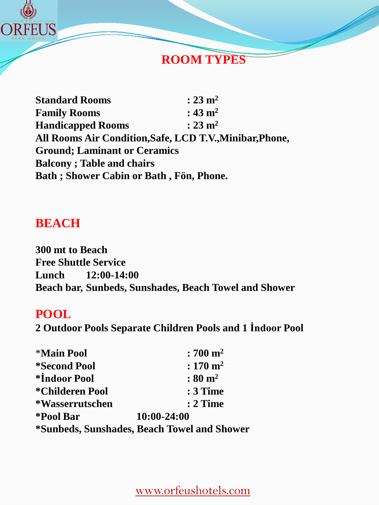

### **ROOM TYPES**

**Standard Rooms : 23 m2 Family Rooms : 43 m2 Handicapped Rooms : 23 m2 All Rooms Air Condition,Safe, LCD T.V.,Minibar,Phone, Ground; Laminant or Ceramics Balcony ; Table and chairs Bath ; Shower Cabin or Bath , Fön, Phone.**

### **BEACH**

**300 mt to Beach Free Shuttle Service Lunch 12:00-14:00 Beach bar, Sunbeds, Sunshades, Beach Towel and Shower**

#### **POOL**

**2 Outdoor Pools Separate Children Pools and 1 İndoor Pool**

| <b>*Main Pool</b>                           | $:700 \; \mathrm{m}^2$  |
|---------------------------------------------|-------------------------|
| <i><b>*Second Pool</b></i>                  | $: 170 \; \mathrm{m}^2$ |
| *Indoor Pool                                | $: 80 \; \mathrm{m}^2$  |
| *Childeren Pool                             | <b>: 3 Time</b>         |
| *Wasserrutschen                             | $: 2$ Time              |
| *Pool Bar                                   | 10:00-24:00             |
| *Sunbeds, Sunshades, Beach Towel and Shower |                         |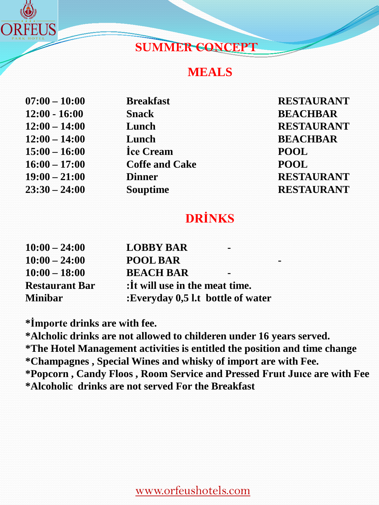

### **SUMMER CONCEPT**

#### **MEALS**

| $07:00 - 10:00$ | <b>Breakfast</b>      | <b>RESTA</b> |
|-----------------|-----------------------|--------------|
| $12:00 - 16:00$ | <b>Snack</b>          | <b>BEAC</b>  |
| $12:00 - 14:00$ | Lunch                 | <b>RESTA</b> |
| $12:00 - 14:00$ | Lunch                 | <b>BEAC</b>  |
| $15:00 - 16:00$ | Ice Cream             | <b>POOL</b>  |
| $16:00 - 17:00$ | <b>Coffe and Cake</b> | <b>POOL</b>  |
| $19:00 - 21:00$ | <b>Dinner</b>         | <b>RESTA</b> |
| $23:30 - 24:00$ | <b>Souptime</b>       | <b>RESTA</b> |
|                 |                       |              |

 $\bf RESTAURANT$ **12:00 - 16:00 Snack BEACHBAR**  $RESTAURANT$  $BEACHBAR$ **19:00 – 21:00 Dinner RESTAURANT 23:30 – 24:00 Souptime RESTAURANT**

# **DRİNKS**

| $10:00 - 24:00$       | <b>LOBBY BAR</b>                  |  |
|-----------------------|-----------------------------------|--|
| $10:00 - 24:00$       | <b>POOL BAR</b>                   |  |
| $10:00 - 18:00$       | <b>BEACH BAR</b>                  |  |
| <b>Restaurant Bar</b> | : It will use in the meat time.   |  |
| <b>Minibar</b>        | :Everyday 0,5 l.t bottle of water |  |

**\*İmporte drinks are with fee.**

**\*Alcholic drinks are not allowed to childeren under 16 years served. \*The Hotel Management activities is entitled the position and time change \*Champagnes , Special Wines and whisky of import are with Fee. \*Popcorn , Candy Floos , Room Service and Pressed Fruıt Juıce are with Fee \*Alcoholic drinks are not served For the Breakfast**